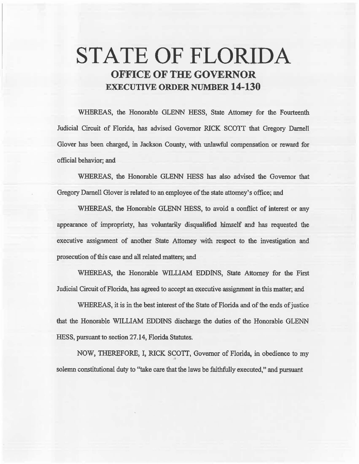# **STATE OF FLORIDA OFFICE OF THE GOVERNOR EXECUTIVE ORDER NUMBER 14-130**

WHEREAS, the Honorable GLENN HESS, State Attorney for the Fourteenth Judicial Circuit of Florida, has advised Governor RICK SCOTI that Gregory Darnell Glover has been charged, in Jackson County, with unlawful compensation or reward for official behavior; and

WHEREAS, the Honorable GLENN HESS has also advised the Governor that Gregory Darnell Glover is related to an employee of the state attorney's office; and

WHEREAS, the Honorable GLENN HESS, to avoid a conflict of interest or any appearance of impropriety, has voluntariily disqualified himself and has requested the executive assignment of another State Attorney with respect to the investigation and prosecution of this case and all related matters; and

WHEREAS, the Honorable WILLIAM EDDINS, State Attorney for the First Judicial Circuit of Florida, has agreed to accept an executive assignment in this matter; and

WHEREAS, it is in the best interest of the State of Florida and of the ends of justice that the Honorable WILLIAM EDDINS discharge the duties of the Honorable GLENN HESS, pursuant to section 27 .14, Florida Statutes.

NOW, THEREFORE, I, RICK SCOTT, Governor of Florida, in obedience to my solemn constitutional duty to "take care that the laws be faithfully executed," and pursuant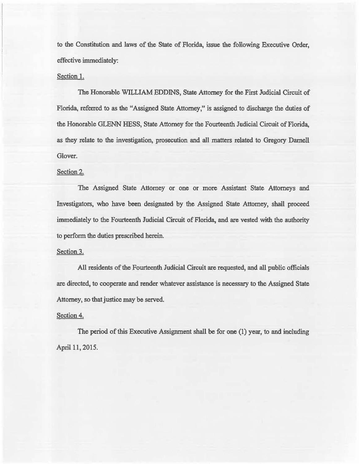to the Constitution and laws of the State of Florida, issue the following Executive Order, effective immediately:

#### Section 1.

The Honorable WILLIAM EDDINS, State Attorney for the First Judicial Circuit of Florida, referred to as the "Assigned State Attorney," is assigned to discharge the duties of the Honorable GLENN HESS, State Attorney for the Fourteenth Judicial Circuit of Florida, as they relate to the investigation, prosecution and all matters related to Gregory Darnell Glover.

### Section 2.

The Assigned State Attorney or one or more Assistant State Attorneys and Investigators, who have been designated by the Assigned State Attorney, shall proceed immediately to the Fourteenth Judicial Circuit of Florida, and are vested with the authority to perform the duties prescribed herein.

### Section 3.

All residents of the Fourteenth Judicial Circuit are requested, and all public officials are directed, to cooperate and render whatever assistance is necessary to the Assigned State Attorney, so that justice may be served.

#### Section 4.

The period of this Executive Assignment shall be for one (1) year, to and including April 11, 2015.